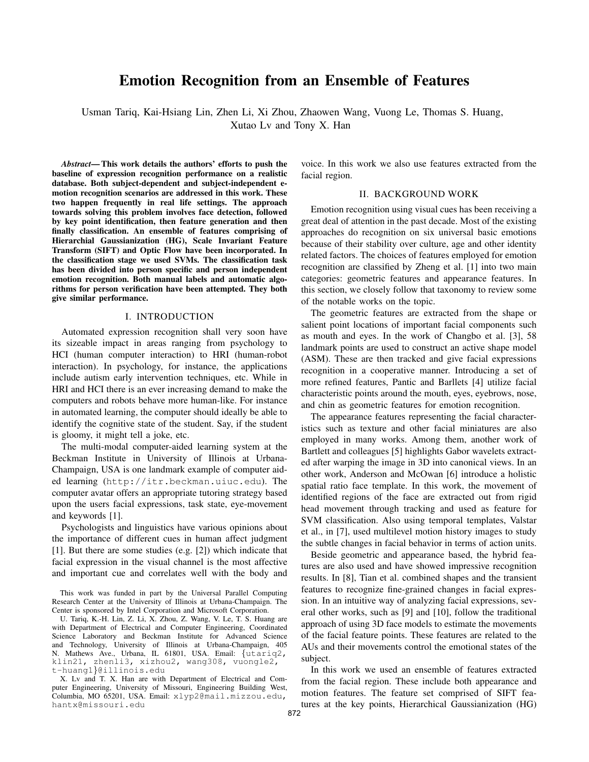# Emotion Recognition from an Ensemble of Features

Usman Tariq, Kai-Hsiang Lin, Zhen Li, Xi Zhou, Zhaowen Wang, Vuong Le, Thomas S. Huang, Xutao Lv and Tony X. Han

*Abstract*— This work details the authors' efforts to push the baseline of expression recognition performance on a realistic database. Both subject-dependent and subject-independent emotion recognition scenarios are addressed in this work. These two happen frequently in real life settings. The approach towards solving this problem involves face detection, followed by key point identification, then feature generation and then finally classification. An ensemble of features comprising of Hierarchial Gaussianization (HG), Scale Invariant Feature Transform (SIFT) and Optic Flow have been incorporated. In the classification stage we used SVMs. The classification task has been divided into person specific and person independent emotion recognition. Both manual labels and automatic algorithms for person verification have been attempted. They both give similar performance.

## I. INTRODUCTION

Automated expression recognition shall very soon have its sizeable impact in areas ranging from psychology to HCI (human computer interaction) to HRI (human-robot interaction). In psychology, for instance, the applications include autism early intervention techniques, etc. While in HRI and HCI there is an ever increasing demand to make the computers and robots behave more human-like. For instance in automated learning, the computer should ideally be able to identify the cognitive state of the student. Say, if the student is gloomy, it might tell a joke, etc.

The multi-modal computer-aided learning system at the Beckman Institute in University of Illinois at Urbana-Champaign, USA is one landmark example of computer aided learning (http://itr.beckman.uiuc.edu). The computer avatar offers an appropriate tutoring strategy based upon the users facial expressions, task state, eye-movement and keywords [1].

Psychologists and linguistics have various opinions about the importance of different cues in human affect judgment [1]. But there are some studies (e.g. [2]) which indicate that facial expression in the visual channel is the most affective and important cue and correlates well with the body and

U. Tariq, K.-H. Lin, Z. Li, X. Zhou, Z. Wang, V. Le, T. S. Huang are with Department of Electrical and Computer Engineering, Coordinated Science Laboratory and Beckman Institute for Advanced Science and Technology, University of Illinois at Urbana-Champaign, 405 N. Mathews Ave., Urbana, IL 61801, USA. Email: {utariq2, klin21, zhenli3, xizhou2, wang308, vuongle2, t-huang1}@illinois.edu

X. Lv and T. X. Han are with Department of Electrical and Computer Engineering, University of Missouri, Engineering Building West, Columbia, MO 65201, USA. Email: xlyp2@mail.mizzou.edu, hantx@missouri.edu

voice. In this work we also use features extracted from the facial region.

## II. BACKGROUND WORK

Emotion recognition using visual cues has been receiving a great deal of attention in the past decade. Most of the existing approaches do recognition on six universal basic emotions because of their stability over culture, age and other identity related factors. The choices of features employed for emotion recognition are classified by Zheng et al. [1] into two main categories: geometric features and appearance features. In this section, we closely follow that taxonomy to review some of the notable works on the topic.

The geometric features are extracted from the shape or salient point locations of important facial components such as mouth and eyes. In the work of Changbo et al. [3], 58 landmark points are used to construct an active shape model (ASM). These are then tracked and give facial expressions recognition in a cooperative manner. Introducing a set of more refined features, Pantic and Barllets [4] utilize facial characteristic points around the mouth, eyes, eyebrows, nose, and chin as geometric features for emotion recognition.

The appearance features representing the facial characteristics such as texture and other facial miniatures are also employed in many works. Among them, another work of Bartlett and colleagues [5] highlights Gabor wavelets extracted after warping the image in 3D into canonical views. In an other work, Anderson and McOwan [6] introduce a holistic spatial ratio face template. In this work, the movement of identified regions of the face are extracted out from rigid head movement through tracking and used as feature for SVM classification. Also using temporal templates, Valstar et al., in [7], used multilevel motion history images to study the subtle changes in facial behavior in terms of action units.

Beside geometric and appearance based, the hybrid features are also used and have showed impressive recognition results. In [8], Tian et al. combined shapes and the transient features to recognize fine-grained changes in facial expression. In an intuitive way of analyzing facial expressions, several other works, such as [9] and [10], follow the traditional approach of using 3D face models to estimate the movements of the facial feature points. These features are related to the AUs and their movements control the emotional states of the subject.

In this work we used an ensemble of features extracted from the facial region. These include both appearance and motion features. The feature set comprised of SIFT features at the key points, Hierarchical Gaussianization (HG)

This work was funded in part by the Universal Parallel Computing Research Center at the University of Illinois at Urbana-Champaign. The Center is sponsored by Intel Corporation and Microsoft Corporation.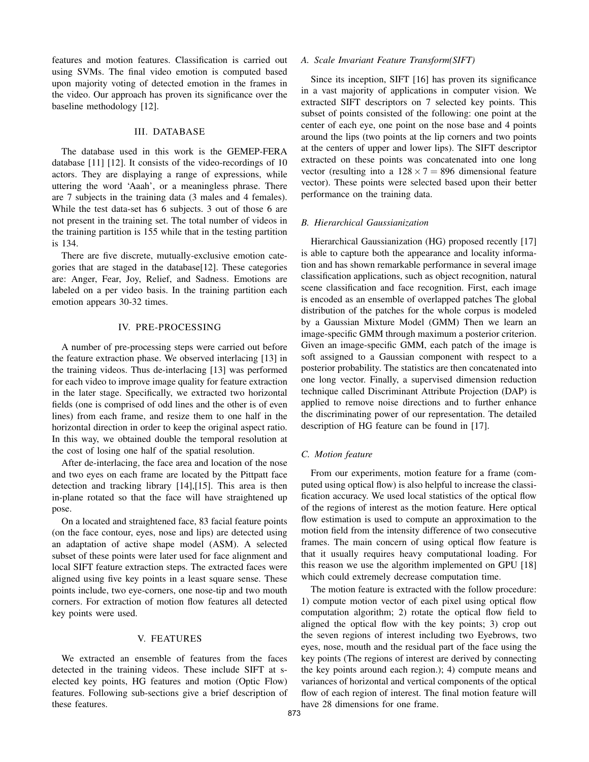features and motion features. Classification is carried out using SVMs. The final video emotion is computed based upon majority voting of detected emotion in the frames in the video. Our approach has proven its significance over the baseline methodology [12].

## III. DATABASE

The database used in this work is the GEMEP-FERA database [11] [12]. It consists of the video-recordings of 10 actors. They are displaying a range of expressions, while uttering the word 'Aaah', or a meaningless phrase. There are 7 subjects in the training data (3 males and 4 females). While the test data-set has 6 subjects. 3 out of those 6 are not present in the training set. The total number of videos in the training partition is 155 while that in the testing partition is 134.

There are five discrete, mutually-exclusive emotion categories that are staged in the database[12]. These categories are: Anger, Fear, Joy, Relief, and Sadness. Emotions are labeled on a per video basis. In the training partition each emotion appears 30-32 times.

## IV. PRE-PROCESSING

A number of pre-processing steps were carried out before the feature extraction phase. We observed interlacing [13] in the training videos. Thus de-interlacing [13] was performed for each video to improve image quality for feature extraction in the later stage. Specifically, we extracted two horizontal fields (one is comprised of odd lines and the other is of even lines) from each frame, and resize them to one half in the horizontal direction in order to keep the original aspect ratio. In this way, we obtained double the temporal resolution at the cost of losing one half of the spatial resolution.

After de-interlacing, the face area and location of the nose and two eyes on each frame are located by the Pittpatt face detection and tracking library [14],[15]. This area is then in-plane rotated so that the face will have straightened up pose.

On a located and straightened face, 83 facial feature points (on the face contour, eyes, nose and lips) are detected using an adaptation of active shape model (ASM). A selected subset of these points were later used for face alignment and local SIFT feature extraction steps. The extracted faces were aligned using five key points in a least square sense. These points include, two eye-corners, one nose-tip and two mouth corners. For extraction of motion flow features all detected key points were used.

# V. FEATURES

We extracted an ensemble of features from the faces detected in the training videos. These include SIFT at selected key points, HG features and motion (Optic Flow) features. Following sub-sections give a brief description of these features.

#### *A. Scale Invariant Feature Transform(SIFT)*

Since its inception, SIFT [16] has proven its significance in a vast majority of applications in computer vision. We extracted SIFT descriptors on 7 selected key points. This subset of points consisted of the following: one point at the center of each eye, one point on the nose base and 4 points around the lips (two points at the lip corners and two points at the centers of upper and lower lips). The SIFT descriptor extracted on these points was concatenated into one long vector (resulting into a  $128 \times 7 = 896$  dimensional feature vector). These points were selected based upon their better performance on the training data.

#### *B. Hierarchical Gaussianization*

Hierarchical Gaussianization (HG) proposed recently [17] is able to capture both the appearance and locality information and has shown remarkable performance in several image classification applications, such as object recognition, natural scene classification and face recognition. First, each image is encoded as an ensemble of overlapped patches The global distribution of the patches for the whole corpus is modeled by a Gaussian Mixture Model (GMM) Then we learn an image-specific GMM through maximum a posterior criterion. Given an image-specific GMM, each patch of the image is soft assigned to a Gaussian component with respect to a posterior probability. The statistics are then concatenated into one long vector. Finally, a supervised dimension reduction technique called Discriminant Attribute Projection (DAP) is applied to remove noise directions and to further enhance the discriminating power of our representation. The detailed description of HG feature can be found in [17].

# *C. Motion feature*

From our experiments, motion feature for a frame (computed using optical flow) is also helpful to increase the classification accuracy. We used local statistics of the optical flow of the regions of interest as the motion feature. Here optical flow estimation is used to compute an approximation to the motion field from the intensity difference of two consecutive frames. The main concern of using optical flow feature is that it usually requires heavy computational loading. For this reason we use the algorithm implemented on GPU [18] which could extremely decrease computation time.

The motion feature is extracted with the follow procedure: 1) compute motion vector of each pixel using optical flow computation algorithm; 2) rotate the optical flow field to aligned the optical flow with the key points; 3) crop out the seven regions of interest including two Eyebrows, two eyes, nose, mouth and the residual part of the face using the key points (The regions of interest are derived by connecting the key points around each region.); 4) compute means and variances of horizontal and vertical components of the optical flow of each region of interest. The final motion feature will have 28 dimensions for one frame.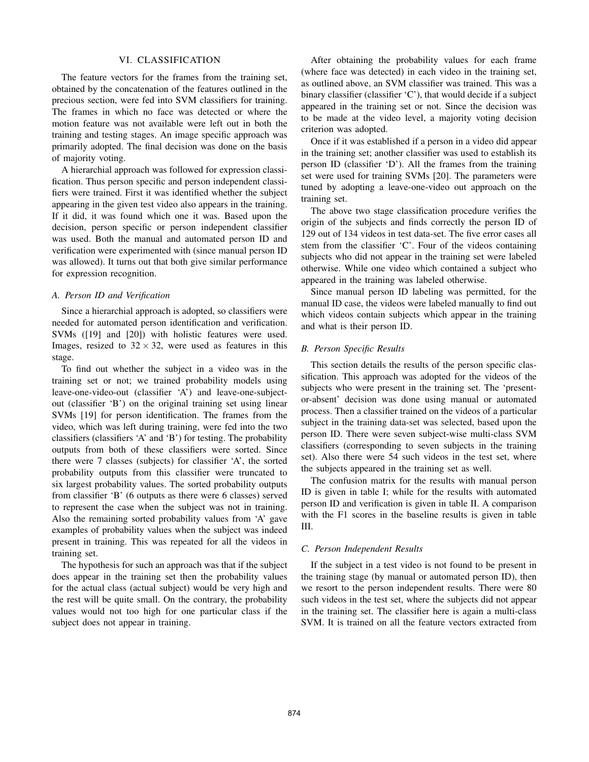#### VI. CLASSIFICATION

The feature vectors for the frames from the training set, obtained by the concatenation of the features outlined in the precious section, were fed into SVM classifiers for training. The frames in which no face was detected or where the motion feature was not available were left out in both the training and testing stages. An image specific approach was primarily adopted. The final decision was done on the basis of majority voting.

A hierarchial approach was followed for expression classification. Thus person specific and person independent classifiers were trained. First it was identified whether the subject appearing in the given test video also appears in the training. If it did, it was found which one it was. Based upon the decision, person specific or person independent classifier was used. Both the manual and automated person ID and verification were experimented with (since manual person ID was allowed). It turns out that both give similar performance for expression recognition.

# *A. Person ID and Verification*

Since a hierarchial approach is adopted, so classifiers were needed for automated person identification and verification. SVMs ([19] and [20]) with holistic features were used. Images, resized to  $32 \times 32$ , were used as features in this stage.

To find out whether the subject in a video was in the training set or not; we trained probability models using leave-one-video-out (classifier 'A') and leave-one-subjectout (classifier 'B') on the original training set using linear SVMs [19] for person identification. The frames from the video, which was left during training, were fed into the two classifiers (classifiers 'A' and 'B') for testing. The probability outputs from both of these classifiers were sorted. Since there were 7 classes (subjects) for classifier 'A', the sorted probability outputs from this classifier were truncated to six largest probability values. The sorted probability outputs from classifier 'B' (6 outputs as there were 6 classes) served to represent the case when the subject was not in training. Also the remaining sorted probability values from 'A' gave examples of probability values when the subject was indeed present in training. This was repeated for all the videos in training set.

The hypothesis for such an approach was that if the subject does appear in the training set then the probability values for the actual class (actual subject) would be very high and the rest will be quite small. On the contrary, the probability values would not too high for one particular class if the subject does not appear in training.

After obtaining the probability values for each frame (where face was detected) in each video in the training set, as outlined above, an SVM classifier was trained. This was a binary classifier (classifier 'C'), that would decide if a subject appeared in the training set or not. Since the decision was to be made at the video level, a majority voting decision criterion was adopted.

Once if it was established if a person in a video did appear in the training set; another classifier was used to establish its person ID (classifier 'D'). All the frames from the training set were used for training SVMs [20]. The parameters were tuned by adopting a leave-one-video out approach on the training set.

The above two stage classification procedure verifies the origin of the subjects and finds correctly the person ID of 129 out of 134 videos in test data-set. The five error cases all stem from the classifier 'C'. Four of the videos containing subjects who did not appear in the training set were labeled otherwise. While one video which contained a subject who appeared in the training was labeled otherwise.

Since manual person ID labeling was permitted, for the manual ID case, the videos were labeled manually to find out which videos contain subjects which appear in the training and what is their person ID.

# *B. Person Specific Results*

This section details the results of the person specific classification. This approach was adopted for the videos of the subjects who were present in the training set. The 'presentor-absent' decision was done using manual or automated process. Then a classifier trained on the videos of a particular subject in the training data-set was selected, based upon the person ID. There were seven subject-wise multi-class SVM classifiers (corresponding to seven subjects in the training set). Also there were 54 such videos in the test set, where the subjects appeared in the training set as well.

The confusion matrix for the results with manual person ID is given in table I; while for the results with automated person ID and verification is given in table II. A comparison with the F1 scores in the baseline results is given in table III.

# *C. Person Independent Results*

If the subject in a test video is not found to be present in the training stage (by manual or automated person ID), then we resort to the person independent results. There were 80 such videos in the test set, where the subjects did not appear in the training set. The classifier here is again a multi-class SVM. It is trained on all the feature vectors extracted from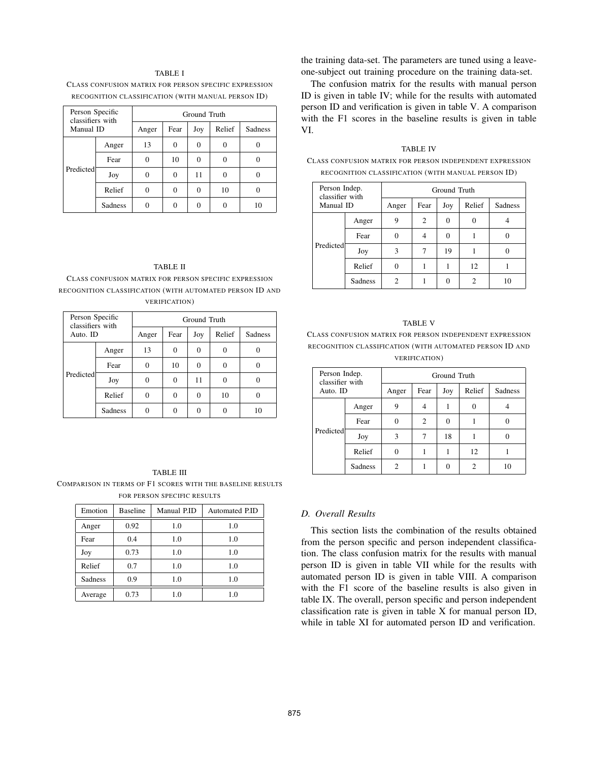#### TABLE I

CLASS CONFUSION MATRIX FOR PERSON SPECIFIC EXPRESSION RECOGNITION CLASSIFICATION (WITH MANUAL PERSON ID)

| Person Specific<br>classifiers with<br>Manual ID |         | Ground Truth |      |          |          |              |  |
|--------------------------------------------------|---------|--------------|------|----------|----------|--------------|--|
|                                                  |         | Anger        | Fear | Joy      | Relief   | Sadness      |  |
|                                                  | Anger   | 13           |      |          |          |              |  |
| Predicted                                        | Fear    |              | 10   | $\Omega$ | $\Omega$ |              |  |
|                                                  | Joy     |              |      | 11       | $\Omega$ |              |  |
|                                                  | Relief  |              |      | 0        | 10       | $\mathbf{0}$ |  |
|                                                  | Sadness |              |      |          |          | 10           |  |

# TABLE II

CLASS CONFUSION MATRIX FOR PERSON SPECIFIC EXPRESSION RECOGNITION CLASSIFICATION (WITH AUTOMATED PERSON ID AND VERIFICATION)

| Person Specific<br>classifiers with<br>Auto. ID |         | Ground Truth |          |          |        |         |  |
|-------------------------------------------------|---------|--------------|----------|----------|--------|---------|--|
|                                                 |         | Anger        | Fear     | Joy      | Relief | Sadness |  |
|                                                 | Anger   | 13           | $\Omega$ | $\Omega$ |        |         |  |
| Predicted                                       | Fear    |              | 10       | 0        |        |         |  |
|                                                 | Joy     |              |          | 11       |        |         |  |
|                                                 | Relief  | 0            |          | $\Omega$ | 10     |         |  |
|                                                 | Sadness |              |          | 0        |        | 10      |  |

| TABLE III                                                  |
|------------------------------------------------------------|
| COMPARISON IN TERMS OF F1 SCORES WITH THE BASELINE RESULTS |
| FOR PERSON SPECIFIC RESULTS                                |

| Emotion        | <b>Baseline</b> | Manual P.ID | Automated P.ID |
|----------------|-----------------|-------------|----------------|
| Anger          | 0.92            | 1.0         | 1.0            |
| Fear           | 0.4             | 1.0         | 1.0            |
| Joy            | 0.73            | 1.0         | 1.0            |
| Relief         | 0.7             | 1.0         | 1.0            |
| <b>Sadness</b> | 0.9             | 1.0         | 1.0            |
| Average        | 0.73            | 1.0         | 1.0            |

the training data-set. The parameters are tuned using a leaveone-subject out training procedure on the training data-set.

The confusion matrix for the results with manual person ID is given in table IV; while for the results with automated person ID and verification is given in table V. A comparison with the F1 scores in the baseline results is given in table VI.

TABLE IV CLASS CONFUSION MATRIX FOR PERSON INDEPENDENT EXPRESSION RECOGNITION CLASSIFICATION (WITH MANUAL PERSON ID)

| Person Indep.<br>classifier with |         | Ground Truth |      |     |        |         |  |
|----------------------------------|---------|--------------|------|-----|--------|---------|--|
| Manual ID                        |         | Anger        | Fear | Joy | Relief | Sadness |  |
|                                  | Anger   | 9            | 2    | 0   | 0      |         |  |
| Predicted                        | Fear    |              |      | 0   |        |         |  |
|                                  | Joy     | 3            |      | 19  |        | 0       |  |
|                                  | Relief  |              |      |     | 12     |         |  |
|                                  | Sadness | 2            |      |     | ↑      | 10      |  |

| TABLE V                                                  |
|----------------------------------------------------------|
| CLASS CONFUSION MATRIX FOR PERSON INDEPENDENT EXPRESSION |
| RECOGNITION CLASSIFICATION (WITH AUTOMATED PERSON ID AND |
| <b>VERIFICATION</b>                                      |

| Person Indep.<br>classifier with<br>Auto. ID |         | Ground Truth |      |          |        |         |  |
|----------------------------------------------|---------|--------------|------|----------|--------|---------|--|
|                                              |         | Anger        | Fear | Joy      | Relief | Sadness |  |
|                                              | Anger   | 9            |      |          | 0      |         |  |
| Fear<br>Predicted<br>Joy<br>Relief           |         |              | 2    | $\Omega$ |        |         |  |
|                                              |         | 3            |      | 18       |        | O       |  |
|                                              |         |              |      |          | 12     |         |  |
|                                              | Sadness | 2            |      |          | ി      | 10      |  |

# *D. Overall Results*

This section lists the combination of the results obtained from the person specific and person independent classification. The class confusion matrix for the results with manual person ID is given in table VII while for the results with automated person ID is given in table VIII. A comparison with the F1 score of the baseline results is also given in table IX. The overall, person specific and person independent classification rate is given in table X for manual person ID, while in table XI for automated person ID and verification.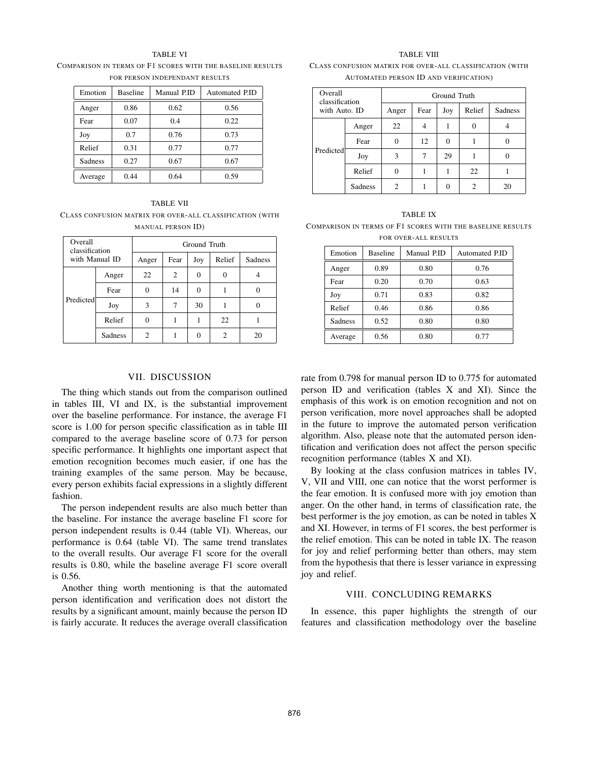#### TABLE VI

COMPARISON IN TERMS OF F1 SCORES WITH THE BASELINE RESULTS FOR PERSON INDEPENDANT RESULTS

| Emotion | <b>Baseline</b> | Manual P.ID | Automated P.ID |
|---------|-----------------|-------------|----------------|
| Anger   | 0.86            | 0.62        | 0.56           |
| Fear    | 0.07            | 0.4         | 0.22           |
| Joy     | 0.7             | 0.76        | 0.73           |
| Relief  | 0.31            | 0.77        | 0.77           |
| Sadness | 0.27            | 0.67        | 0.67           |
| Average | 0.44            | 0.64        | 0.59           |

TABLE VII CLASS CONFUSION MATRIX FOR OVER-ALL CLASSIFICATION (WITH MANUAL PERSON ID)

| Overall<br>classification<br>with Manual ID |         | Ground Truth |      |          |          |         |  |
|---------------------------------------------|---------|--------------|------|----------|----------|---------|--|
|                                             |         | Anger        | Fear | Joy      | Relief   | Sadness |  |
|                                             | Anger   | 22           | 2    | 0        | $\Omega$ |         |  |
| Predicted                                   | Fear    | 0            | 14   | $\Omega$ |          |         |  |
|                                             | Joy     | 3            | 7    | 30       |          |         |  |
|                                             | Relief  | 0            |      | 1        | 22       |         |  |
|                                             | Sadness | 2            |      | 0        | 2        | 20      |  |

# VII. DISCUSSION

The thing which stands out from the comparison outlined in tables III, VI and IX, is the substantial improvement over the baseline performance. For instance, the average F1 score is 1.00 for person specific classification as in table III compared to the average baseline score of 0.73 for person specific performance. It highlights one important aspect that emotion recognition becomes much easier, if one has the training examples of the same person. May be because, every person exhibits facial expressions in a slightly different fashion.

The person independent results are also much better than the baseline. For instance the average baseline F1 score for person independent results is 0.44 (table VI). Whereas, our performance is 0.64 (table VI). The same trend translates to the overall results. Our average F1 score for the overall results is 0.80, while the baseline average F1 score overall is 0.56.

Another thing worth mentioning is that the automated person identification and verification does not distort the results by a significant amount, mainly because the person ID is fairly accurate. It reduces the average overall classification

#### TABLE VIII

CLASS CONFUSION MATRIX FOR OVER-ALL CLASSIFICATION (WITH AUTOMATED PERSON ID AND VERIFICATION)

| Overall<br>classification<br>with Auto. ID |         | Ground Truth |      |     |          |         |  |
|--------------------------------------------|---------|--------------|------|-----|----------|---------|--|
|                                            |         | Anger        | Fear | Joy | Relief   | Sadness |  |
|                                            | Anger   | 22           |      |     | $\Omega$ |         |  |
| Predicted                                  | Fear    |              | 12   |     |          |         |  |
|                                            | Joy     | 3            |      | 29  |          |         |  |
|                                            | Relief  |              |      |     | 22       |         |  |
|                                            | Sadness | 2            |      |     | 2        | 20      |  |

TABLE IX COMPARISON IN TERMS OF F1 SCORES WITH THE BASELINE RESULTS FOR OVER-ALL RESULTS

| Emotion | <b>Baseline</b> | Manual P.ID | <b>Automated P.ID</b> |
|---------|-----------------|-------------|-----------------------|
| Anger   | 0.89            | 0.80        | 0.76                  |
| Fear    | 0.20            | 0.70        | 0.63                  |
| Joy     | 0.71            | 0.83        | 0.82                  |
| Relief  | 0.46            | 0.86        | 0.86                  |
| Sadness | 0.52            | 0.80        | 0.80                  |
| Average | 0.56            | 0.80        | 0.77                  |

rate from 0.798 for manual person ID to 0.775 for automated person ID and verification (tables X and XI). Since the emphasis of this work is on emotion recognition and not on person verification, more novel approaches shall be adopted in the future to improve the automated person verification algorithm. Also, please note that the automated person identification and verification does not affect the person specific recognition performance (tables X and XI).

By looking at the class confusion matrices in tables IV, V, VII and VIII, one can notice that the worst performer is the fear emotion. It is confused more with joy emotion than anger. On the other hand, in terms of classification rate, the best performer is the joy emotion, as can be noted in tables X and XI. However, in terms of F1 scores, the best performer is the relief emotion. This can be noted in table IX. The reason for joy and relief performing better than others, may stem from the hypothesis that there is lesser variance in expressing joy and relief.

## VIII. CONCLUDING REMARKS

In essence, this paper highlights the strength of our features and classification methodology over the baseline